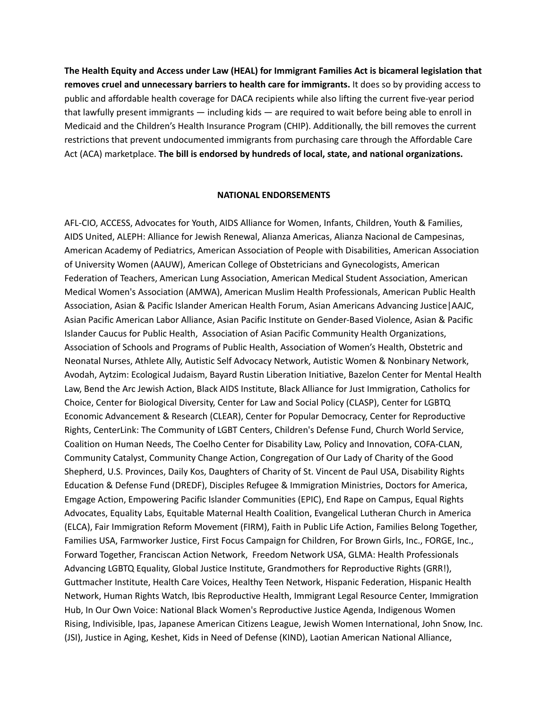**The Health Equity and Access under Law (HEAL) for Immigrant Families Act is bicameral legislation that removes cruel and unnecessary barriers to health care for immigrants.** It does so by providing access to public and affordable health coverage for DACA recipients while also lifting the current five-year period that lawfully present immigrants — including kids — are required to wait before being able to enroll in Medicaid and the Children's Health Insurance Program (CHIP). Additionally, the bill removes the current restrictions that prevent undocumented immigrants from purchasing care through the Affordable Care Act (ACA) marketplace. **The bill is endorsed by hundreds of local, state, and national organizations.**

## **NATIONAL ENDORSEMENTS**

AFL-CIO, ACCESS, Advocates for Youth, AIDS Alliance for Women, Infants, Children, Youth & Families, AIDS United, ALEPH: Alliance for Jewish Renewal, Alianza Americas, Alianza Nacional de Campesinas, American Academy of Pediatrics, American Association of People with Disabilities, American Association of University Women (AAUW), American College of Obstetricians and Gynecologists, American Federation of Teachers, American Lung Association, American Medical Student Association, American Medical Women's Association (AMWA), American Muslim Health Professionals, American Public Health Association, Asian & Pacific Islander American Health Forum, Asian Americans Advancing Justice|AAJC, Asian Pacific American Labor Alliance, Asian Pacific Institute on Gender-Based Violence, Asian & Pacific Islander Caucus for Public Health, Association of Asian Pacific Community Health Organizations, Association of Schools and Programs of Public Health, Association of Women's Health, Obstetric and Neonatal Nurses, Athlete Ally, Autistic Self Advocacy Network, Autistic Women & Nonbinary Network, Avodah, Aytzim: Ecological Judaism, Bayard Rustin Liberation Initiative, Bazelon Center for Mental Health Law, Bend the Arc Jewish Action, Black AIDS Institute, Black Alliance for Just Immigration, Catholics for Choice, Center for Biological Diversity, Center for Law and Social Policy (CLASP), Center for LGBTQ Economic Advancement & Research (CLEAR), Center for Popular Democracy, Center for Reproductive Rights, CenterLink: The Community of LGBT Centers, Children's Defense Fund, Church World Service, Coalition on Human Needs, The Coelho Center for Disability Law, Policy and Innovation, COFA-CLAN, Community Catalyst, Community Change Action, Congregation of Our Lady of Charity of the Good Shepherd, U.S. Provinces, Daily Kos, Daughters of Charity of St. Vincent de Paul USA, Disability Rights Education & Defense Fund (DREDF), Disciples Refugee & Immigration Ministries, Doctors for America, Emgage Action, Empowering Pacific Islander Communities (EPIC), End Rape on Campus, Equal Rights Advocates, Equality Labs, Equitable Maternal Health Coalition, Evangelical Lutheran Church in America (ELCA), Fair Immigration Reform Movement (FIRM), Faith in Public Life Action, Families Belong Together, Families USA, Farmworker Justice, First Focus Campaign for Children, For Brown Girls, Inc., FORGE, Inc., Forward Together, Franciscan Action Network, Freedom Network USA, GLMA: Health Professionals Advancing LGBTQ Equality, Global Justice Institute, Grandmothers for Reproductive Rights (GRR!), Guttmacher Institute, Health Care Voices, Healthy Teen Network, Hispanic Federation, Hispanic Health Network, Human Rights Watch, Ibis Reproductive Health, Immigrant Legal Resource Center, Immigration Hub, In Our Own Voice: National Black Women's Reproductive Justice Agenda, Indigenous Women Rising, Indivisible, Ipas, Japanese American Citizens League, Jewish Women International, John Snow, Inc. (JSI), Justice in Aging, Keshet, Kids in Need of Defense (KIND), Laotian American National Alliance,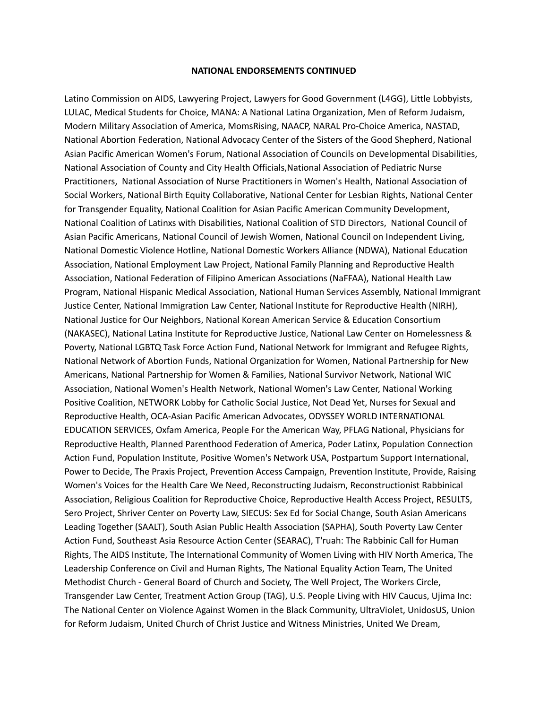#### **NATIONAL ENDORSEMENTS CONTINUED**

Latino Commission on AIDS, Lawyering Project, Lawyers for Good Government (L4GG), Little Lobbyists, LULAC, Medical Students for Choice, MANA: A National Latina Organization, Men of Reform Judaism, Modern Military Association of America, MomsRising, NAACP, NARAL Pro-Choice America, NASTAD, National Abortion Federation, National Advocacy Center of the Sisters of the Good Shepherd, National Asian Pacific American Women's Forum, National Association of Councils on Developmental Disabilities, National Association of County and City Health Officials,National Association of Pediatric Nurse Practitioners, National Association of Nurse Practitioners in Women's Health, National Association of Social Workers, National Birth Equity Collaborative, National Center for Lesbian Rights, National Center for Transgender Equality, National Coalition for Asian Pacific American Community Development, National Coalition of Latinxs with Disabilities, National Coalition of STD Directors, National Council of Asian Pacific Americans, National Council of Jewish Women, National Council on Independent Living, National Domestic Violence Hotline, National Domestic Workers Alliance (NDWA), National Education Association, National Employment Law Project, National Family Planning and Reproductive Health Association, National Federation of Filipino American Associations (NaFFAA), National Health Law Program, National Hispanic Medical Association, National Human Services Assembly, National Immigrant Justice Center, National Immigration Law Center, National Institute for Reproductive Health (NIRH), National Justice for Our Neighbors, National Korean American Service & Education Consortium (NAKASEC), National Latina Institute for Reproductive Justice, National Law Center on Homelessness & Poverty, National LGBTQ Task Force Action Fund, National Network for Immigrant and Refugee Rights, National Network of Abortion Funds, National Organization for Women, National Partnership for New Americans, National Partnership for Women & Families, National Survivor Network, National WIC Association, National Women's Health Network, National Women's Law Center, National Working Positive Coalition, NETWORK Lobby for Catholic Social Justice, Not Dead Yet, Nurses for Sexual and Reproductive Health, OCA-Asian Pacific American Advocates, ODYSSEY WORLD INTERNATIONAL EDUCATION SERVICES, Oxfam America, People For the American Way, PFLAG National, Physicians for Reproductive Health, Planned Parenthood Federation of America, Poder Latinx, Population Connection Action Fund, Population Institute, Positive Women's Network USA, Postpartum Support International, Power to Decide, The Praxis Project, Prevention Access Campaign, Prevention Institute, Provide, Raising Women's Voices for the Health Care We Need, Reconstructing Judaism, Reconstructionist Rabbinical Association, Religious Coalition for Reproductive Choice, Reproductive Health Access Project, RESULTS, Sero Project, Shriver Center on Poverty Law, SIECUS: Sex Ed for Social Change, South Asian Americans Leading Together (SAALT), South Asian Public Health Association (SAPHA), South Poverty Law Center Action Fund, Southeast Asia Resource Action Center (SEARAC), T'ruah: The Rabbinic Call for Human Rights, The AIDS Institute, The International Community of Women Living with HIV North America, The Leadership Conference on Civil and Human Rights, The National Equality Action Team, The United Methodist Church - General Board of Church and Society, The Well Project, The Workers Circle, Transgender Law Center, Treatment Action Group (TAG), U.S. People Living with HIV Caucus, Ujima Inc: The National Center on Violence Against Women in the Black Community, UltraViolet, UnidosUS, Union for Reform Judaism, United Church of Christ Justice and Witness Ministries, United We Dream,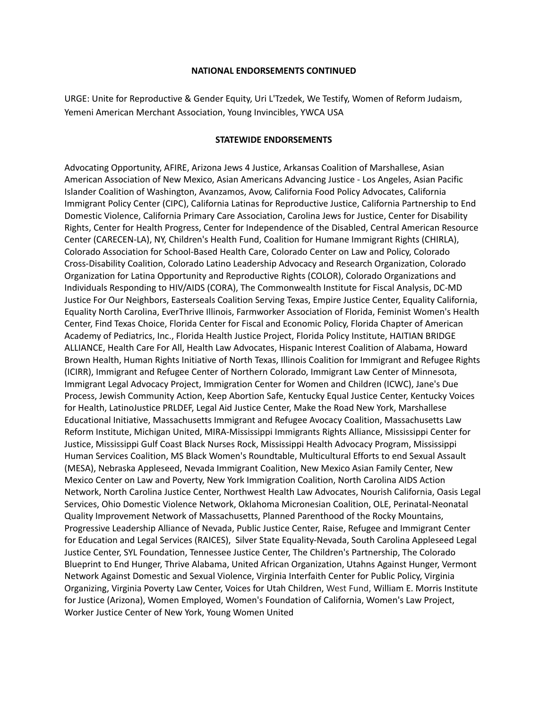### **NATIONAL ENDORSEMENTS CONTINUED**

URGE: Unite for Reproductive & Gender Equity, Uri L'Tzedek, We Testify, Women of Reform Judaism, Yemeni American Merchant Association, Young Invincibles, YWCA USA

# **STATEWIDE ENDORSEMENTS**

Advocating Opportunity, AFIRE, Arizona Jews 4 Justice, Arkansas Coalition of Marshallese, Asian American Association of New Mexico, Asian Americans Advancing Justice - Los Angeles, Asian Pacific Islander Coalition of Washington, Avanzamos, Avow, California Food Policy Advocates, California Immigrant Policy Center (CIPC), California Latinas for Reproductive Justice, California Partnership to End Domestic Violence, California Primary Care Association, Carolina Jews for Justice, Center for Disability Rights, Center for Health Progress, Center for Independence of the Disabled, Central American Resource Center (CARECEN-LA), NY, Children's Health Fund, Coalition for Humane Immigrant Rights (CHIRLA), Colorado Association for School-Based Health Care, Colorado Center on Law and Policy, Colorado Cross-Disability Coalition, Colorado Latino Leadership Advocacy and Research Organization, Colorado Organization for Latina Opportunity and Reproductive Rights (COLOR), Colorado Organizations and Individuals Responding to HIV/AIDS (CORA), The Commonwealth Institute for Fiscal Analysis, DC-MD Justice For Our Neighbors, Easterseals Coalition Serving Texas, Empire Justice Center, Equality California, Equality North Carolina, EverThrive Illinois, Farmworker Association of Florida, Feminist Women's Health Center, Find Texas Choice, Florida Center for Fiscal and Economic Policy, Florida Chapter of American Academy of Pediatrics, Inc., Florida Health Justice Project, Florida Policy Institute, HAITIAN BRIDGE ALLIANCE, Health Care For All, Health Law Advocates, Hispanic Interest Coalition of Alabama, Howard Brown Health, Human Rights Initiative of North Texas, Illinois Coalition for Immigrant and Refugee Rights (ICIRR), Immigrant and Refugee Center of Northern Colorado, Immigrant Law Center of Minnesota, Immigrant Legal Advocacy Project, Immigration Center for Women and Children (ICWC), Jane's Due Process, Jewish Community Action, Keep Abortion Safe, Kentucky Equal Justice Center, Kentucky Voices for Health, LatinoJustice PRLDEF, Legal Aid Justice Center, Make the Road New York, Marshallese Educational Initiative, Massachusetts Immigrant and Refugee Avocacy Coalition, Massachusetts Law Reform Institute, Michigan United, MIRA-Mississippi Immigrants Rights Alliance, Mississippi Center for Justice, Mississippi Gulf Coast Black Nurses Rock, Mississippi Health Advocacy Program, Mississippi Human Services Coalition, MS Black Women's Roundtable, Multicultural Efforts to end Sexual Assault (MESA), Nebraska Appleseed, Nevada Immigrant Coalition, New Mexico Asian Family Center, New Mexico Center on Law and Poverty, New York Immigration Coalition, North Carolina AIDS Action Network, North Carolina Justice Center, Northwest Health Law Advocates, Nourish California, Oasis Legal Services, Ohio Domestic Violence Network, Oklahoma Micronesian Coalition, OLE, Perinatal-Neonatal Quality Improvement Network of Massachusetts, Planned Parenthood of the Rocky Mountains, Progressive Leadership Alliance of Nevada, Public Justice Center, Raise, Refugee and Immigrant Center for Education and Legal Services (RAICES), Silver State Equality-Nevada, South Carolina Appleseed Legal Justice Center, SYL Foundation, Tennessee Justice Center, The Children's Partnership, The Colorado Blueprint to End Hunger, Thrive Alabama, United African Organization, Utahns Against Hunger, Vermont Network Against Domestic and Sexual Violence, Virginia Interfaith Center for Public Policy, Virginia Organizing, Virginia Poverty Law Center, Voices for Utah Children, West Fund, William E. Morris Institute for Justice (Arizona), Women Employed, Women's Foundation of California, Women's Law Project, Worker Justice Center of New York, Young Women United